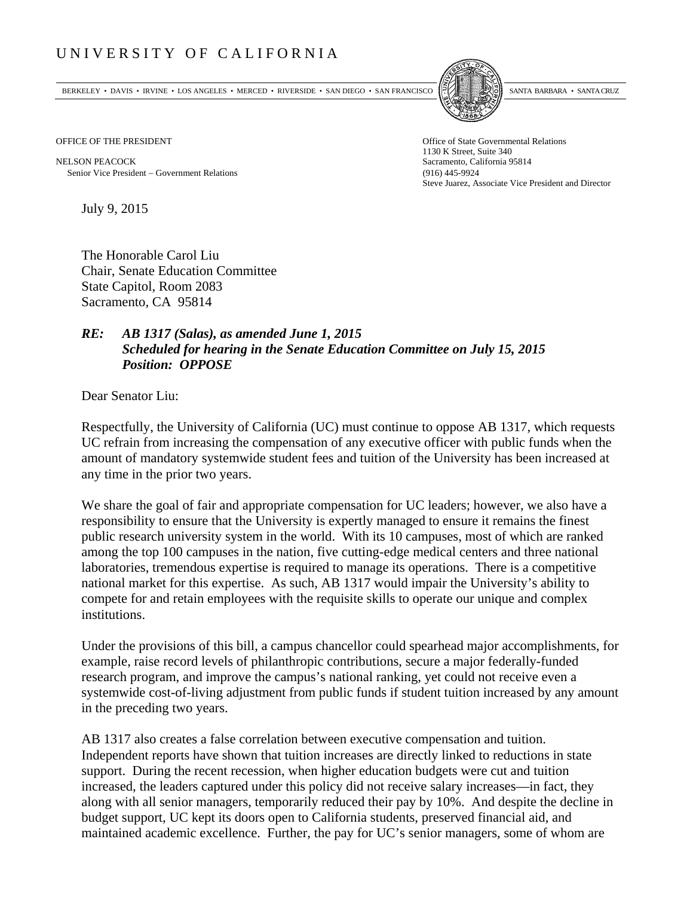## UNIVERSITY OF CALIFORNIA

BERKELEY • DAVIS • IRVINE • LOS ANGELES • MERCED • RIVERSIDE • SAN DIEGO • SAN FRANCISCO SANTA BARBARA • SANTA CRUZ



NELSON PEACOCK Sacramento, California 95814 Senior Vice President Government Relations (916) 445-9924

OFFICE OF THE PRESIDENT STATES OF THE PRESIDENT 1130 K Street, Suite 340 Steve Juarez, Associate Vice President and Director

July 9, 2015

The Honorable Carol Liu Chair, Senate Education Committee State Capitol, Room 2083 Sacramento, CA 95814

## *RE: AB 1317 (Salas), as amended June 1, 2015 Scheduled for hearing in the Senate Education Committee on July 15, 2015 Position: OPPOSE*

Dear Senator Liu:

Respectfully, the University of California (UC) must continue to oppose AB 1317, which requests UC refrain from increasing the compensation of any executive officer with public funds when the amount of mandatory systemwide student fees and tuition of the University has been increased at any time in the prior two years.

We share the goal of fair and appropriate compensation for UC leaders; however, we also have a responsibility to ensure that the University is expertly managed to ensure it remains the finest public research university system in the world. With its 10 campuses, most of which are ranked among the top 100 campuses in the nation, five cutting-edge medical centers and three national laboratories, tremendous expertise is required to manage its operations. There is a competitive national market for this expertise. As such, AB 1317 would impair the University's ability to compete for and retain employees with the requisite skills to operate our unique and complex institutions.

Under the provisions of this bill, a campus chancellor could spearhead major accomplishments, for example, raise record levels of philanthropic contributions, secure a major federally-funded research program, and improve the campus's national ranking, yet could not receive even a systemwide cost-of-living adjustment from public funds if student tuition increased by any amount in the preceding two years.

AB 1317 also creates a false correlation between executive compensation and tuition. Independent reports have shown that tuition increases are directly linked to reductions in state support. During the recent recession, when higher education budgets were cut and tuition increased, the leaders captured under this policy did not receive salary increases—in fact, they along with all senior managers, temporarily reduced their pay by 10%. And despite the decline in budget support, UC kept its doors open to California students, preserved financial aid, and maintained academic excellence. Further, the pay for UC's senior managers, some of whom are